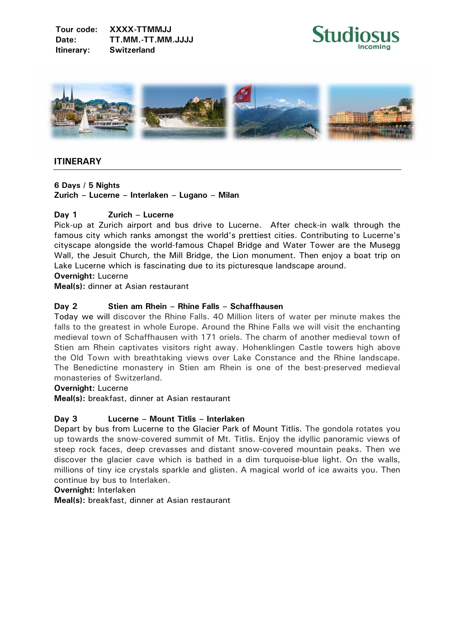



# **ITINERARY**

**6 Days / 5 Nights** 

**Zurich – Lucerne – Interlaken – Lugano – Milan** 

# **Day 1 Zurich – Lucerne**

Pick-up at Zurich airport and bus drive to Lucerne. After check-in walk through the famous city which ranks amongst the world's prettiest cities. Contributing to Lucerne's cityscape alongside the world-famous Chapel Bridge and Water Tower are the Musegg Wall, the Jesuit Church, the Mill Bridge, the Lion monument. Then enjoy a boat trip on Lake Lucerne which is fascinating due to its picturesque landscape around.

**Overnight:** Lucerne

**Meal(s):** dinner at Asian restaurant

## **Day 2 Stien am Rhein – Rhine Falls – Schaffhausen**

Today we will discover the Rhine Falls. 40 Million liters of water per minute makes the falls to the greatest in whole Europe. Around the Rhine Falls we will visit the enchanting medieval town of Schaffhausen with 171 oriels. The charm of another medieval town of Stien am Rhein captivates visitors right away. Hohenklingen Castle towers high above the Old Town with breathtaking views over Lake Constance and the Rhine landscape. The Benedictine monastery in Stien am Rhein is one of the best-preserved medieval monasteries of Switzerland.

#### **Overnight:** Lucerne

**Meal(s):** breakfast, dinner at Asian restaurant

#### **Day 3 Lucerne – Mount Titlis – Interlaken**

Depart by bus from Lucerne to the Glacier Park of Mount Titlis. The gondola rotates you up towards the snow-covered summit of Mt. Titlis. Enjoy the idyllic panoramic views of steep rock faces, deep crevasses and distant snow-covered mountain peaks. Then we discover the glacier cave which is bathed in a dim turquoise-blue light. On the walls, millions of tiny ice crystals sparkle and glisten. A magical world of ice awaits you. Then continue by bus to Interlaken.

**Overnight:** Interlaken

**Meal(s):** breakfast, dinner at Asian restaurant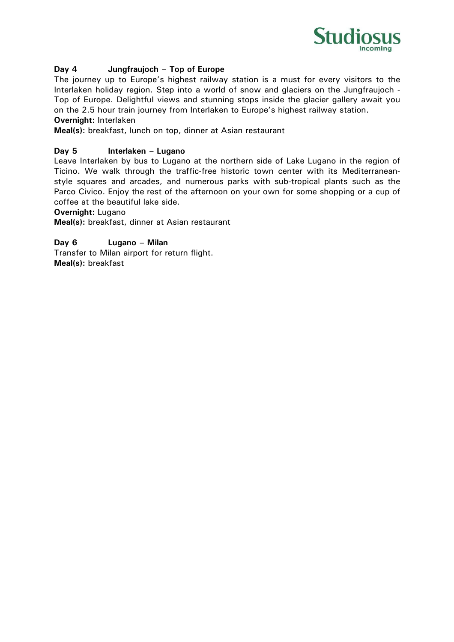

## **Day 4 Jungfraujoch – Top of Europe**

The journey up to Europe's highest railway station is a must for every visitors to the Interlaken holiday region. Step into a world of snow and glaciers on the Jungfraujoch - Top of Europe. Delightful views and stunning stops inside the glacier gallery await you on the 2.5 hour train journey from Interlaken to Europe's highest railway station. **Overnight:** Interlaken

# **Meal(s):** breakfast, lunch on top, dinner at Asian restaurant

### **Day 5 Interlaken – Lugano**

Leave Interlaken by bus to Lugano at the northern side of Lake Lugano in the region of Ticino. We walk through the traffic-free historic town center with its Mediterraneanstyle squares and arcades, and numerous parks with sub-tropical plants such as the Parco Civico. Enjoy the rest of the afternoon on your own for some shopping or a cup of coffee at the beautiful lake side.

**Overnight:** Lugano

**Meal(s):** breakfast, dinner at Asian restaurant

**Day 6 Lugano – Milan**  Transfer to Milan airport for return flight.

**Meal(s):** breakfast